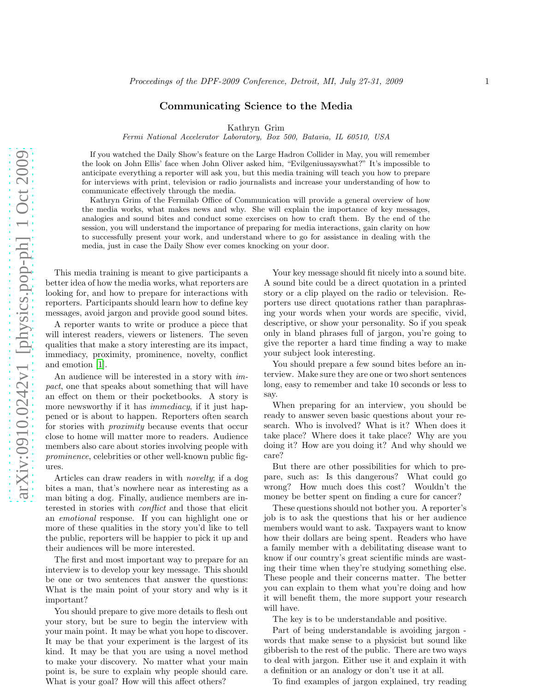## Communicating Science to the Media

Kathryn Grim

Fermi National Accelerator Laboratory, Box 500, Batavia, IL 60510, USA

If you watched the Daily Show's feature on the Large Hadron Collider in May, you will remember the look on John Ellis' face when John Oliver asked him, "Evilgeniussayswhat?" It's impossible to anticipate everything a reporter will ask you, but this media training will teach you how to prepare for interviews with print, television or radio journalists and increase your understanding of how to communicate effectively through the media.

Kathryn Grim of the Fermilab Office of Communication will provide a general overview of how the media works, what makes news and why. She will explain the importance of key messages, analogies and sound bites and conduct some exercises on how to craft them. By the end of the session, you will understand the importance of preparing for media interactions, gain clarity on how to successfully present your work, and understand where to go for assistance in dealing with the media, just in case the Daily Show ever comes knocking on your door.

This media training is meant to give participants a better idea of how the media works, what reporters are looking for, and how to prepare for interactions with reporters. Participants should learn how to define key messages, avoid jargon and provide good sound bites.

A reporter wants to write or produce a piece that will interest readers, viewers or listeners. The seven qualities that make a story interesting are its impact, immediacy, proximity, prominence, novelty, conflict and emotion [\[1](#page-2-0)].

An audience will be interested in a story with impact, one that speaks about something that will have an effect on them or their pocketbooks. A story is more newsworthy if it has *immediacy*, if it just happened or is about to happen. Reporters often search for stories with *proximity* because events that occur close to home will matter more to readers. Audience members also care about stories involving people with prominence, celebrities or other well-known public figures.

Articles can draw readers in with novelty; if a dog bites a man, that's nowhere near as interesting as a man biting a dog. Finally, audience members are interested in stories with conflict and those that elicit an emotional response. If you can highlight one or more of these qualities in the story you'd like to tell the public, reporters will be happier to pick it up and their audiences will be more interested.

The first and most important way to prepare for an interview is to develop your key message. This should be one or two sentences that answer the questions: What is the main point of your story and why is it important?

You should prepare to give more details to flesh out your story, but be sure to begin the interview with your main point. It may be what you hope to discover. It may be that your experiment is the largest of its kind. It may be that you are using a novel method to make your discovery. No matter what your main point is, be sure to explain why people should care. What is your goal? How will this affect others?

Your key message should fit nicely into a sound bite. A sound bite could be a direct quotation in a printed story or a clip played on the radio or television. Reporters use direct quotations rather than paraphrasing your words when your words are specific, vivid, descriptive, or show your personality. So if you speak only in bland phrases full of jargon, you're going to give the reporter a hard time finding a way to make your subject look interesting.

You should prepare a few sound bites before an interview. Make sure they are one or two short sentences long, easy to remember and take 10 seconds or less to say.

When preparing for an interview, you should be ready to answer seven basic questions about your research. Who is involved? What is it? When does it take place? Where does it take place? Why are you doing it? How are you doing it? And why should we care?

But there are other possibilities for which to prepare, such as: Is this dangerous? What could go wrong? How much does this cost? Wouldn't the money be better spent on finding a cure for cancer?

These questions should not bother you. A reporter's job is to ask the questions that his or her audience members would want to ask. Taxpayers want to know how their dollars are being spent. Readers who have a family member with a debilitating disease want to know if our country's great scientific minds are wasting their time when they're studying something else. These people and their concerns matter. The better you can explain to them what you're doing and how it will benefit them, the more support your research will have.

The key is to be understandable and positive.

Part of being understandable is avoiding jargon words that make sense to a physicist but sound like gibberish to the rest of the public. There are two ways to deal with jargon. Either use it and explain it with a definition or an analogy or don't use it at all.

To find examples of jargon explained, try reading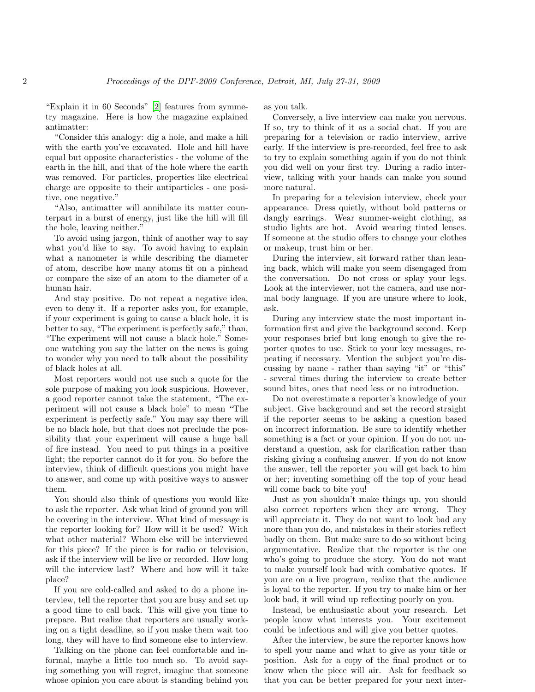"Explain it in 60 Seconds" [\[2\]](#page-2-1) features from symmetry magazine. Here is how the magazine explained antimatter:

"Consider this analogy: dig a hole, and make a hill with the earth you've excavated. Hole and hill have equal but opposite characteristics - the volume of the earth in the hill, and that of the hole where the earth was removed. For particles, properties like electrical charge are opposite to their antiparticles - one positive, one negative."

"Also, antimatter will annihilate its matter counterpart in a burst of energy, just like the hill will fill the hole, leaving neither."

To avoid using jargon, think of another way to say what you'd like to say. To avoid having to explain what a nanometer is while describing the diameter of atom, describe how many atoms fit on a pinhead or compare the size of an atom to the diameter of a human hair.

And stay positive. Do not repeat a negative idea, even to deny it. If a reporter asks you, for example, if your experiment is going to cause a black hole, it is better to say, "The experiment is perfectly safe," than, "The experiment will not cause a black hole." Someone watching you say the latter on the news is going to wonder why you need to talk about the possibility of black holes at all.

Most reporters would not use such a quote for the sole purpose of making you look suspicious. However, a good reporter cannot take the statement, "The experiment will not cause a black hole" to mean "The experiment is perfectly safe." You may say there will be no black hole, but that does not preclude the possibility that your experiment will cause a huge ball of fire instead. You need to put things in a positive light; the reporter cannot do it for you. So before the interview, think of difficult questions you might have to answer, and come up with positive ways to answer them.

You should also think of questions you would like to ask the reporter. Ask what kind of ground you will be covering in the interview. What kind of message is the reporter looking for? How will it be used? With what other material? Whom else will be interviewed for this piece? If the piece is for radio or television, ask if the interview will be live or recorded. How long will the interview last? Where and how will it take place?

If you are cold-called and asked to do a phone interview, tell the reporter that you are busy and set up a good time to call back. This will give you time to prepare. But realize that reporters are usually working on a tight deadline, so if you make them wait too long, they will have to find someone else to interview.

Talking on the phone can feel comfortable and informal, maybe a little too much so. To avoid saying something you will regret, imagine that someone whose opinion you care about is standing behind you as you talk.

Conversely, a live interview can make you nervous. If so, try to think of it as a social chat. If you are preparing for a television or radio interview, arrive early. If the interview is pre-recorded, feel free to ask to try to explain something again if you do not think you did well on your first try. During a radio interview, talking with your hands can make you sound more natural.

In preparing for a television interview, check your appearance. Dress quietly, without bold patterns or dangly earrings. Wear summer-weight clothing, as studio lights are hot. Avoid wearing tinted lenses. If someone at the studio offers to change your clothes or makeup, trust him or her.

During the interview, sit forward rather than leaning back, which will make you seem disengaged from the conversation. Do not cross or splay your legs. Look at the interviewer, not the camera, and use normal body language. If you are unsure where to look, ask.

During any interview state the most important information first and give the background second. Keep your responses brief but long enough to give the reporter quotes to use. Stick to your key messages, repeating if necessary. Mention the subject you're discussing by name - rather than saying "it" or "this" - several times during the interview to create better sound bites, ones that need less or no introduction.

Do not overestimate a reporter's knowledge of your subject. Give background and set the record straight if the reporter seems to be asking a question based on incorrect information. Be sure to identify whether something is a fact or your opinion. If you do not understand a question, ask for clarification rather than risking giving a confusing answer. If you do not know the answer, tell the reporter you will get back to him or her; inventing something off the top of your head will come back to bite you!

Just as you shouldn't make things up, you should also correct reporters when they are wrong. They will appreciate it. They do not want to look bad any more than you do, and mistakes in their stories reflect badly on them. But make sure to do so without being argumentative. Realize that the reporter is the one who's going to produce the story. You do not want to make yourself look bad with combative quotes. If you are on a live program, realize that the audience is loyal to the reporter. If you try to make him or her look bad, it will wind up reflecting poorly on you.

Instead, be enthusiastic about your research. Let people know what interests you. Your excitement could be infectious and will give you better quotes.

After the interview, be sure the reporter knows how to spell your name and what to give as your title or position. Ask for a copy of the final product or to know when the piece will air. Ask for feedback so that you can be better prepared for your next inter